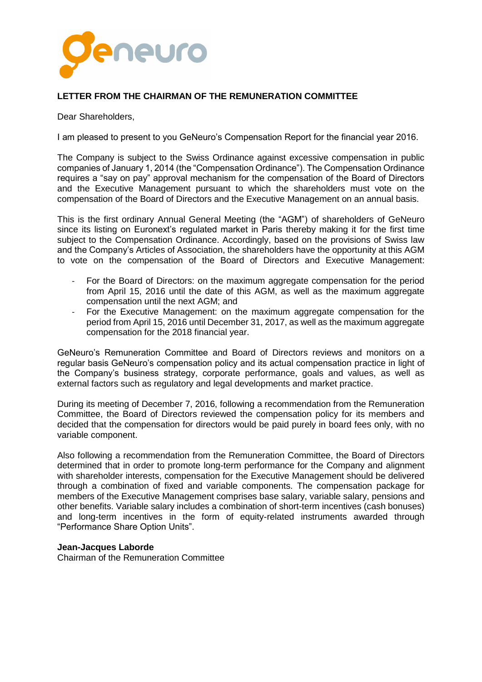

# **LETTER FROM THE CHAIRMAN OF THE REMUNERATION COMMITTEE**

Dear Shareholders,

I am pleased to present to you GeNeuro's Compensation Report for the financial year 2016.

The Company is subject to the Swiss Ordinance against excessive compensation in public companies of January 1, 2014 (the "Compensation Ordinance"). The Compensation Ordinance requires a "say on pay" approval mechanism for the compensation of the Board of Directors and the Executive Management pursuant to which the shareholders must vote on the compensation of the Board of Directors and the Executive Management on an annual basis.

This is the first ordinary Annual General Meeting (the "AGM") of shareholders of GeNeuro since its listing on Euronext's regulated market in Paris thereby making it for the first time subject to the Compensation Ordinance. Accordingly, based on the provisions of Swiss law and the Company's Articles of Association, the shareholders have the opportunity at this AGM to vote on the compensation of the Board of Directors and Executive Management:

- For the Board of Directors: on the maximum aggregate compensation for the period from April 15, 2016 until the date of this AGM, as well as the maximum aggregate compensation until the next AGM; and
- For the Executive Management: on the maximum aggregate compensation for the period from April 15, 2016 until December 31, 2017, as well as the maximum aggregate compensation for the 2018 financial year.

GeNeuro's Remuneration Committee and Board of Directors reviews and monitors on a regular basis GeNeuro's compensation policy and its actual compensation practice in light of the Company's business strategy, corporate performance, goals and values, as well as external factors such as regulatory and legal developments and market practice.

During its meeting of December 7, 2016, following a recommendation from the Remuneration Committee, the Board of Directors reviewed the compensation policy for its members and decided that the compensation for directors would be paid purely in board fees only, with no variable component.

Also following a recommendation from the Remuneration Committee, the Board of Directors determined that in order to promote long-term performance for the Company and alignment with shareholder interests, compensation for the Executive Management should be delivered through a combination of fixed and variable components. The compensation package for members of the Executive Management comprises base salary, variable salary, pensions and other benefits. Variable salary includes a combination of short-term incentives (cash bonuses) and long-term incentives in the form of equity-related instruments awarded through "Performance Share Option Units".

# **Jean-Jacques Laborde**

Chairman of the Remuneration Committee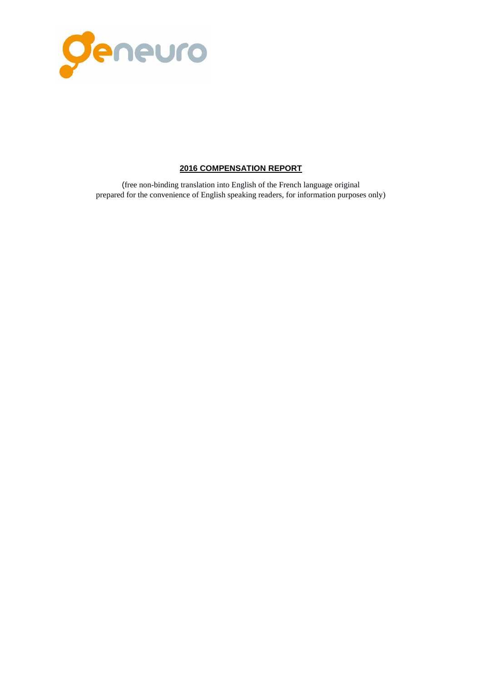

# **2016 COMPENSATION REPORT**

(free non-binding translation into English of the French language original prepared for the convenience of English speaking readers, for information purposes only)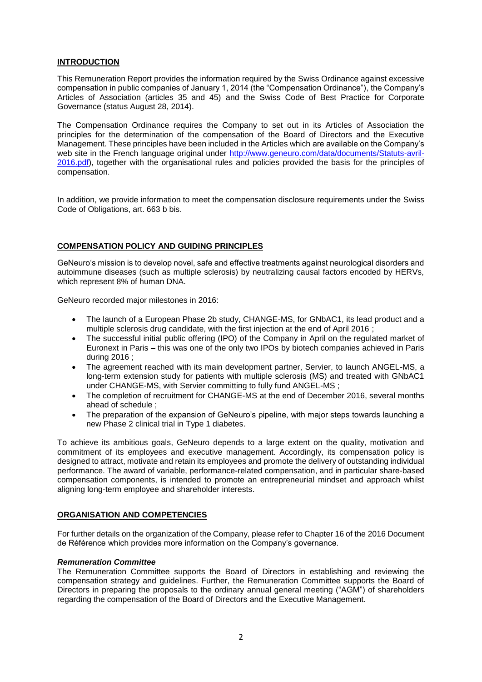# **INTRODUCTION**

This Remuneration Report provides the information required by the Swiss Ordinance against excessive compensation in public companies of January 1, 2014 (the "Compensation Ordinance"), the Company's Articles of Association (articles 35 and 45) and the Swiss Code of Best Practice for Corporate Governance (status August 28, 2014).

The Compensation Ordinance requires the Company to set out in its Articles of Association the principles for the determination of the compensation of the Board of Directors and the Executive Management. These principles have been included in the Articles which are available on the Company's web site in the French language original under [http://www.geneuro.com/data/documents/Statuts-avril-](http://www.geneuro.com/data/documents/Statuts-avril-2016.pdf)[2016.pdf\)](http://www.geneuro.com/data/documents/Statuts-avril-2016.pdf), together with the organisational rules and policies provided the basis for the principles of compensation.

In addition, we provide information to meet the compensation disclosure requirements under the Swiss Code of Obligations, art. 663 b bis.

# **COMPENSATION POLICY AND GUIDING PRINCIPLES**

GeNeuro's mission is to develop novel, safe and effective treatments against neurological disorders and autoimmune diseases (such as multiple sclerosis) by neutralizing causal factors encoded by HERVs, which represent 8% of human DNA.

GeNeuro recorded major milestones in 2016:

- The launch of a European Phase 2b study, CHANGE-MS, for GNbAC1, its lead product and a multiple sclerosis drug candidate, with the first injection at the end of April 2016 ;
- The successful initial public offering (IPO) of the Company in April on the regulated market of Euronext in Paris – this was one of the only two IPOs by biotech companies achieved in Paris during 2016 ;
- The agreement reached with its main development partner, Servier, to launch ANGEL-MS, a long-term extension study for patients with multiple sclerosis (MS) and treated with GNbAC1 under CHANGE-MS, with Servier committing to fully fund ANGEL-MS ;
- The completion of recruitment for CHANGE-MS at the end of December 2016, several months ahead of schedule ;
- The preparation of the expansion of GeNeuro's pipeline, with major steps towards launching a new Phase 2 clinical trial in Type 1 diabetes.

To achieve its ambitious goals, GeNeuro depends to a large extent on the quality, motivation and commitment of its employees and executive management. Accordingly, its compensation policy is designed to attract, motivate and retain its employees and promote the delivery of outstanding individual performance. The award of variable, performance-related compensation, and in particular share-based compensation components, is intended to promote an entrepreneurial mindset and approach whilst aligning long-term employee and shareholder interests.

#### **ORGANISATION AND COMPETENCIES**

For further details on the organization of the Company, please refer to Chapter 16 of the 2016 Document de Référence which provides more information on the Company's governance.

#### *Remuneration Committee*

The Remuneration Committee supports the Board of Directors in establishing and reviewing the compensation strategy and guidelines. Further, the Remuneration Committee supports the Board of Directors in preparing the proposals to the ordinary annual general meeting ("AGM") of shareholders regarding the compensation of the Board of Directors and the Executive Management.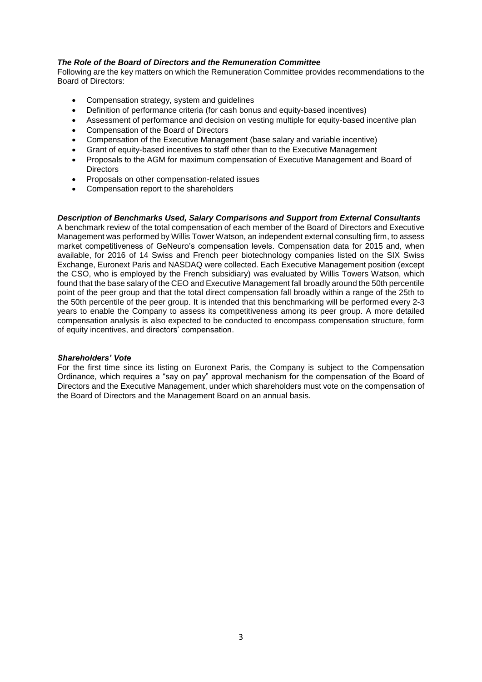# *The Role of the Board of Directors and the Remuneration Committee*

Following are the key matters on which the Remuneration Committee provides recommendations to the Board of Directors:

- Compensation strategy, system and guidelines
- Definition of performance criteria (for cash bonus and equity-based incentives)
- Assessment of performance and decision on vesting multiple for equity-based incentive plan
- Compensation of the Board of Directors
- Compensation of the Executive Management (base salary and variable incentive)
- Grant of equity-based incentives to staff other than to the Executive Management
- Proposals to the AGM for maximum compensation of Executive Management and Board of **Directors**
- Proposals on other compensation-related issues
- Compensation report to the shareholders

# *Description of Benchmarks Used, Salary Comparisons and Support from External Consultants*

A benchmark review of the total compensation of each member of the Board of Directors and Executive Management was performed by Willis Tower Watson, an independent external consulting firm, to assess market competitiveness of GeNeuro's compensation levels. Compensation data for 2015 and, when available, for 2016 of 14 Swiss and French peer biotechnology companies listed on the SIX Swiss Exchange, Euronext Paris and NASDAQ were collected. Each Executive Management position (except the CSO, who is employed by the French subsidiary) was evaluated by Willis Towers Watson, which found that the base salary of the CEO and Executive Management fall broadly around the 50th percentile point of the peer group and that the total direct compensation fall broadly within a range of the 25th to the 50th percentile of the peer group. It is intended that this benchmarking will be performed every 2-3 years to enable the Company to assess its competitiveness among its peer group. A more detailed compensation analysis is also expected to be conducted to encompass compensation structure, form of equity incentives, and directors' compensation.

#### *Shareholders' Vote*

For the first time since its listing on Euronext Paris, the Company is subject to the Compensation Ordinance, which requires a "say on pay" approval mechanism for the compensation of the Board of Directors and the Executive Management, under which shareholders must vote on the compensation of the Board of Directors and the Management Board on an annual basis.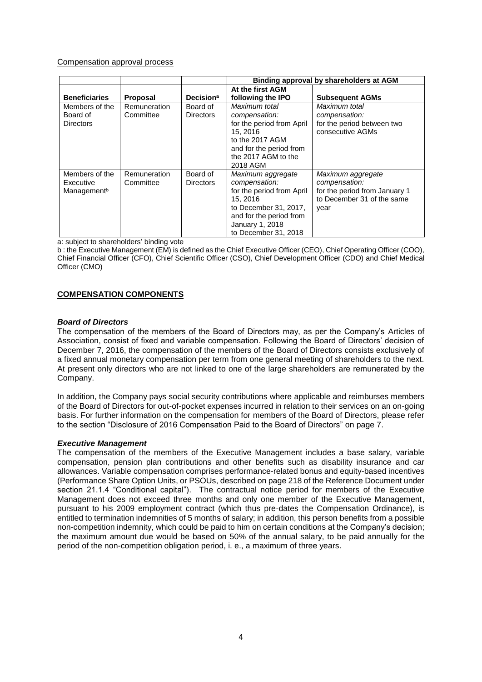# Compensation approval process

|                                                        |                                  |                              | Binding approval by shareholders at AGM                                                                                                                                   |                                                                                                           |  |
|--------------------------------------------------------|----------------------------------|------------------------------|---------------------------------------------------------------------------------------------------------------------------------------------------------------------------|-----------------------------------------------------------------------------------------------------------|--|
| <b>Beneficiaries</b>                                   | <b>Proposal</b>                  | <b>Decision</b> <sup>a</sup> | At the first AGM<br>following the IPO                                                                                                                                     | <b>Subsequent AGMs</b>                                                                                    |  |
| Members of the<br>Board of<br><b>Directors</b>         | <b>Remuneration</b><br>Committee | Board of<br><b>Directors</b> | Maximum total<br>compensation:<br>for the period from April<br>15, 2016<br>to the 2017 AGM<br>and for the period from<br>the 2017 AGM to the<br>2018 AGM                  | Maximum total<br>compensation:<br>for the period between two<br>consecutive AGMs                          |  |
| Members of the<br>Executive<br>Management <sup>b</sup> | Remuneration<br>Committee        | Board of<br><b>Directors</b> | Maximum aggregate<br>compensation:<br>for the period from April<br>15.2016<br>to December 31, 2017,<br>and for the period from<br>January 1, 2018<br>to December 31, 2018 | Maximum aggregate<br>compensation:<br>for the period from January 1<br>to December 31 of the same<br>year |  |

a: subject to shareholders' binding vote

b : the Executive Management (EM) is defined as the Chief Executive Officer (CEO), Chief Operating Officer (COO), Chief Financial Officer (CFO), Chief Scientific Officer (CSO), Chief Development Officer (CDO) and Chief Medical Officer (CMO)

# **COMPENSATION COMPONENTS**

#### *Board of Directors*

The compensation of the members of the Board of Directors may, as per the Company's Articles of Association, consist of fixed and variable compensation. Following the Board of Directors' decision of December 7, 2016, the compensation of the members of the Board of Directors consists exclusively of a fixed annual monetary compensation per term from one general meeting of shareholders to the next. At present only directors who are not linked to one of the large shareholders are remunerated by the Company.

In addition, the Company pays social security contributions where applicable and reimburses members of the Board of Directors for out-of-pocket expenses incurred in relation to their services on an on-going basis. For further information on the compensation for members of the Board of Directors, please refer to the section "Disclosure of 2016 Compensation Paid to the Board of Directors" on page 7.

#### *Executive Management*

The compensation of the members of the Executive Management includes a base salary, variable compensation, pension plan contributions and other benefits such as disability insurance and car allowances. Variable compensation comprises performance-related bonus and equity-based incentives (Performance Share Option Units, or PSOUs, described on page 218 of the Reference Document under section 21.1.4 "Conditional capital"). The contractual notice period for members of the Executive Management does not exceed three months and only one member of the Executive Management, pursuant to his 2009 employment contract (which thus pre-dates the Compensation Ordinance), is entitled to termination indemnities of 5 months of salary; in addition, this person benefits from a possible non-competition indemnity, which could be paid to him on certain conditions at the Company's decision; the maximum amount due would be based on 50% of the annual salary, to be paid annually for the period of the non-competition obligation period, i. e., a maximum of three years.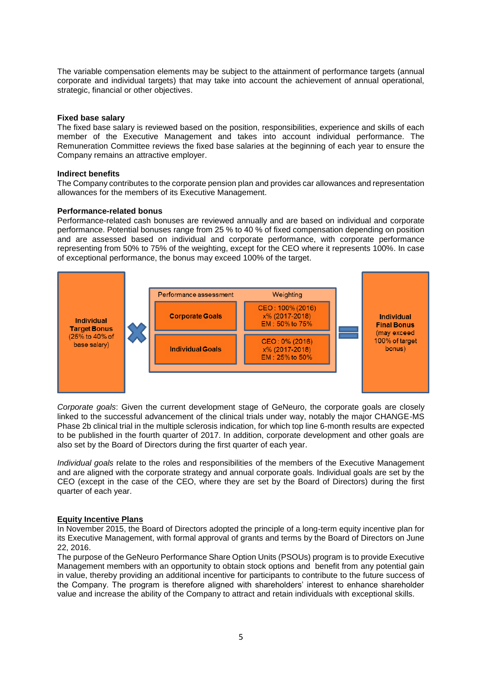The variable compensation elements may be subject to the attainment of performance targets (annual corporate and individual targets) that may take into account the achievement of annual operational, strategic, financial or other objectives.

#### **Fixed base salary**

The fixed base salary is reviewed based on the position, responsibilities, experience and skills of each member of the Executive Management and takes into account individual performance. The Remuneration Committee reviews the fixed base salaries at the beginning of each year to ensure the Company remains an attractive employer.

#### **Indirect benefits**

The Company contributes to the corporate pension plan and provides car allowances and representation allowances for the members of its Executive Management.

# **Performance-related bonus**

Performance-related cash bonuses are reviewed annually and are based on individual and corporate performance. Potential bonuses range from 25 % to 40 % of fixed compensation depending on position and are assessed based on individual and corporate performance, with corporate performance representing from 50% to 75% of the weighting, except for the CEO where it represents 100%. In case of exceptional performance, the bonus may exceed 100% of the target.



*Corporate goals*: Given the current development stage of GeNeuro, the corporate goals are closely linked to the successful advancement of the clinical trials under way, notably the major CHANGE-MS Phase 2b clinical trial in the multiple sclerosis indication, for which top line 6-month results are expected to be published in the fourth quarter of 2017. In addition, corporate development and other goals are also set by the Board of Directors during the first quarter of each year.

*Individual goals* relate to the roles and responsibilities of the members of the Executive Management and are aligned with the corporate strategy and annual corporate goals. Individual goals are set by the CEO (except in the case of the CEO, where they are set by the Board of Directors) during the first quarter of each year.

#### **Equity Incentive Plans**

In November 2015, the Board of Directors adopted the principle of a long-term equity incentive plan for its Executive Management, with formal approval of grants and terms by the Board of Directors on June 22, 2016.

The purpose of the GeNeuro Performance Share Option Units (PSOUs) program is to provide Executive Management members with an opportunity to obtain stock options and benefit from any potential gain in value, thereby providing an additional incentive for participants to contribute to the future success of the Company. The program is therefore aligned with shareholders' interest to enhance shareholder value and increase the ability of the Company to attract and retain individuals with exceptional skills.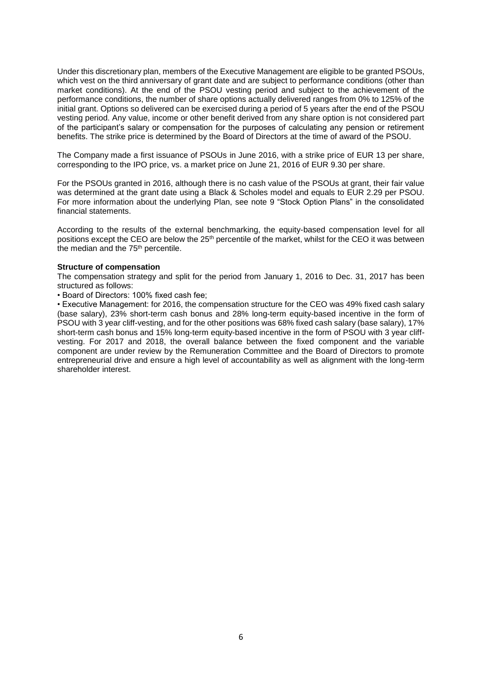Under this discretionary plan, members of the Executive Management are eligible to be granted PSOUs, which vest on the third anniversary of grant date and are subject to performance conditions (other than market conditions). At the end of the PSOU vesting period and subject to the achievement of the performance conditions, the number of share options actually delivered ranges from 0% to 125% of the initial grant. Options so delivered can be exercised during a period of 5 years after the end of the PSOU vesting period. Any value, income or other benefit derived from any share option is not considered part of the participant's salary or compensation for the purposes of calculating any pension or retirement benefits. The strike price is determined by the Board of Directors at the time of award of the PSOU.

The Company made a first issuance of PSOUs in June 2016, with a strike price of EUR 13 per share, corresponding to the IPO price, vs. a market price on June 21, 2016 of EUR 9.30 per share.

For the PSOUs granted in 2016, although there is no cash value of the PSOUs at grant, their fair value was determined at the grant date using a Black & Scholes model and equals to EUR 2.29 per PSOU. For more information about the underlying Plan, see note 9 "Stock Option Plans" in the consolidated financial statements.

According to the results of the external benchmarking, the equity-based compensation level for all positions except the CEO are below the 25th percentile of the market, whilst for the CEO it was between the median and the 75<sup>th</sup> percentile.

#### **Structure of compensation**

The compensation strategy and split for the period from January 1, 2016 to Dec. 31, 2017 has been structured as follows:

• Board of Directors: 100% fixed cash fee;

• Executive Management: for 2016, the compensation structure for the CEO was 49% fixed cash salary (base salary), 23% short-term cash bonus and 28% long-term equity-based incentive in the form of PSOU with 3 year cliff-vesting, and for the other positions was 68% fixed cash salary (base salary), 17% short-term cash bonus and 15% long-term equity-based incentive in the form of PSOU with 3 year cliffvesting. For 2017 and 2018, the overall balance between the fixed component and the variable component are under review by the Remuneration Committee and the Board of Directors to promote entrepreneurial drive and ensure a high level of accountability as well as alignment with the long-term shareholder interest.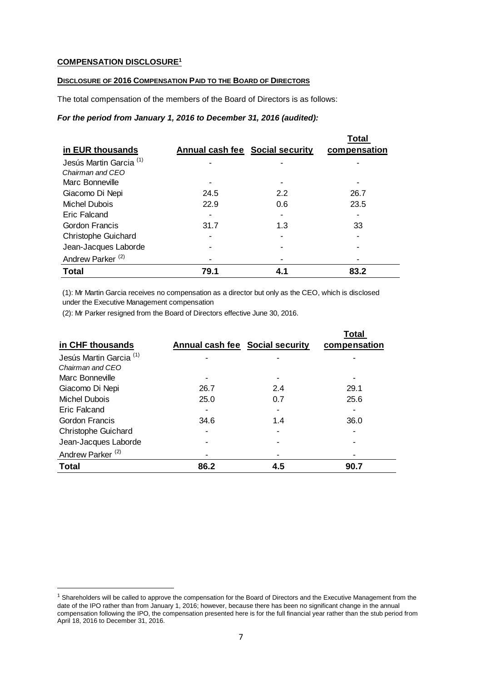# **COMPENSATION DISCLOSURE<sup>1</sup>**

**.** 

# **DISCLOSURE OF 2016 COMPENSATION PAID TO THE BOARD OF DIRECTORS**

The total compensation of the members of the Board of Directors is as follows:

# *For the period from January 1, 2016 to December 31, 2016 (audited):*

|                                    |                                        |     | Total        |
|------------------------------------|----------------------------------------|-----|--------------|
| in EUR thousands                   | <b>Annual cash fee Social security</b> |     | compensation |
| Jesús Martin Garcia <sup>(1)</sup> |                                        |     |              |
| Chairman and CFO                   |                                        |     |              |
| Marc Bonneville                    |                                        |     |              |
| Giacomo Di Nepi                    | 24.5                                   | 2.2 | 26.7         |
| <b>Michel Dubois</b>               | 22.9                                   | 0.6 | 23.5         |
| Eric Falcand                       |                                        |     |              |
| <b>Gordon Francis</b>              | 31.7                                   | 1.3 | 33           |
| <b>Christophe Guichard</b>         |                                        |     |              |
| Jean-Jacques Laborde               |                                        |     |              |
| Andrew Parker <sup>(2)</sup>       |                                        |     |              |
| Total                              | 79.1                                   | 4.1 | 83.2         |

(1): Mr Martin Garcia receives no compensation as a director but only as the CEO, which is disclosed under the Executive Management compensation

(2): Mr Parker resigned from the Board of Directors effective June 30, 2016.

|                                    |                                        |     | Total        |
|------------------------------------|----------------------------------------|-----|--------------|
| in CHF thousands                   | <b>Annual cash fee Social security</b> |     | compensation |
| Jesús Martin Garcia <sup>(1)</sup> |                                        |     |              |
| Chairman and CEO                   |                                        |     |              |
| Marc Bonneville                    |                                        |     |              |
| Giacomo Di Nepi                    | 26.7                                   | 2.4 | 29.1         |
| Michel Dubois                      | 25.0                                   | 0.7 | 25.6         |
| Eric Falcand                       |                                        |     |              |
| Gordon Francis                     | 34.6                                   | 1.4 | 36.0         |
| <b>Christophe Guichard</b>         |                                        |     |              |
| Jean-Jacques Laborde               |                                        |     |              |
| Andrew Parker <sup>(2)</sup>       |                                        |     |              |
| <b>Total</b>                       | 86.2                                   | 4.5 | 90.7         |

<sup>&</sup>lt;sup>1</sup> Shareholders will be called to approve the compensation for the Board of Directors and the Executive Management from the date of the IPO rather than from January 1, 2016; however, because there has been no significant change in the annual compensation following the IPO, the compensation presented here is for the full financial year rather than the stub period from April 18, 2016 to December 31, 2016.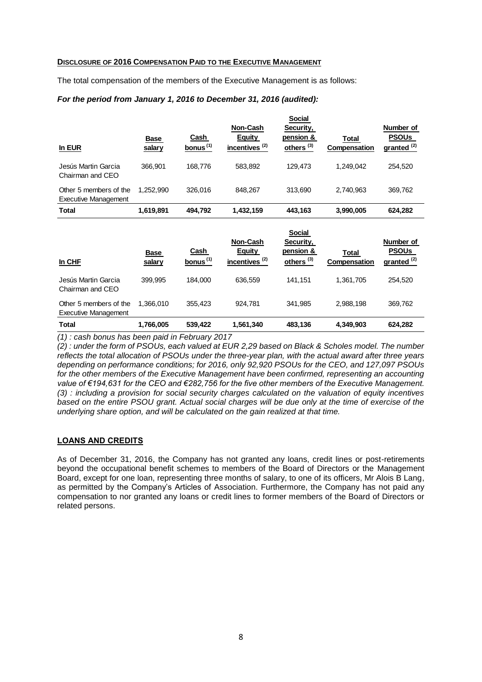#### **DISCLOSURE OF 2016 COMPENSATION PAID TO THE EXECUTIVE MANAGEMENT**

The total compensation of the members of the Executive Management is as follows:

### *For the period from January 1, 2016 to December 31, 2016 (audited):*

| In EUR                                                | Base<br>salary | Cash<br>bonus <sup>(1)</sup> | Non-Cash<br>Equity<br>incentives <sup>(2)</sup> | <b>Social</b><br>Security,<br>pension &<br>others <sup>(3)</sup> | Total<br>Compensation | Number of<br><b>PSOUs</b><br>granted <sup>(2)</sup> |
|-------------------------------------------------------|----------------|------------------------------|-------------------------------------------------|------------------------------------------------------------------|-----------------------|-----------------------------------------------------|
| Jesús Martin Garcia<br>Chairman and CEO               | 366.901        | 168.776                      | 583.892                                         | 129.473                                                          | 1.249.042             | 254.520                                             |
| Other 5 members of the<br><b>Executive Management</b> | 1.252.990      | 326.016                      | 848.267                                         | 313.690                                                          | 2.740.963             | 369,762                                             |
| <b>Total</b>                                          | 1,619,891      | 494.792                      | 1,432,159                                       | 443,163                                                          | 3,990,005             | 624,282                                             |

| In CHF                                                | <b>Base</b><br>salary | Cash<br>bonus $(1)$ | <b>Non-Cash</b><br><b>Equity</b><br>incentives <sup>(2)</sup> | <b>Social</b><br>Security,<br>pension &<br>others <sup>(3)</sup> | Total<br>Compensation | Number of<br><b>PSOUs</b><br>granted <sup>(2)</sup> |
|-------------------------------------------------------|-----------------------|---------------------|---------------------------------------------------------------|------------------------------------------------------------------|-----------------------|-----------------------------------------------------|
| Jesús Martin Garcia<br>Chairman and CFO               | 399.995               | 184.000             | 636,559                                                       | 141.151                                                          | 1,361,705             | 254.520                                             |
| Other 5 members of the<br><b>Executive Management</b> | 1.366.010             | 355.423             | 924.781                                                       | 341,985                                                          | 2,988,198             | 369,762                                             |
| <b>Total</b>                                          | 1,766,005             | 539,422             | 1,561,340                                                     | 483,136                                                          | 4,349,903             | 624,282                                             |

*(1) : cash bonus has been paid in February 2017*

*(2) : under the form of PSOUs, each valued at EUR 2,29 based on Black & Scholes model. The number reflects the total allocation of PSOUs under the three-year plan, with the actual award after three years depending on performance conditions; for 2016, only 92,920 PSOUs for the CEO, and 127,097 PSOUs*  for the other members of the Executive Management have been confirmed, representing an accounting *value of €194,631 for the CEO and €282,756 for the five other members of the Executive Management. (3) : including a provision for social security charges calculated on the valuation of equity incentives based on the entire PSOU grant. Actual social charges will be due only at the time of exercise of the underlying share option, and will be calculated on the gain realized at that time.*

# LOANS AND CREDITS

As of December 31, 2016, the Company has not granted any loans, credit lines or post-retirements beyond the occupational benefit schemes to members of the Board of Directors or the Management Board, except for one loan, representing three months of salary, to one of its officers, Mr Alois B Lang, as permitted by the Company's Articles of Association. Furthermore, the Company has not paid any compensation to nor granted any loans or credit lines to former members of the Board of Directors or related persons.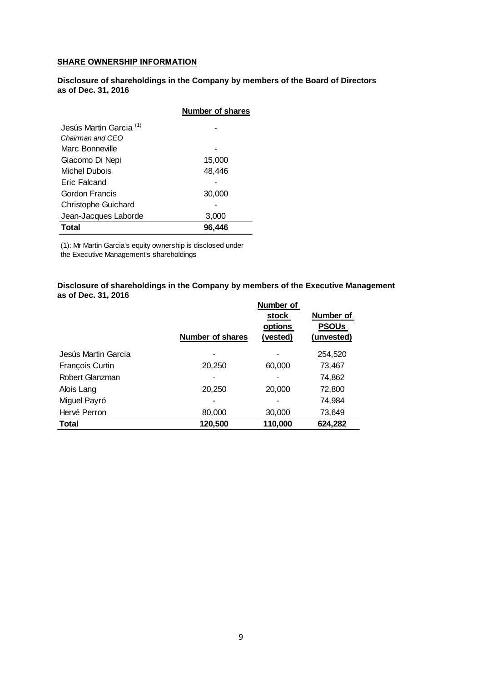# SHARE OWNERSHIP INFORMATION

**Disclosure of shareholdings in the Company by members of the Board of Directors as of Dec. 31, 2016** 

|                                    | <b>Number of shares</b> |
|------------------------------------|-------------------------|
| Jesús Martin Garcia <sup>(1)</sup> |                         |
| Chairman and CFO                   |                         |
| Marc Bonneville                    |                         |
| Giacomo Di Nepi                    | 15,000                  |
| Michel Dubois                      | 48,446                  |
| Eric Falcand                       |                         |
| Gordon Francis                     | 30,000                  |
| <b>Christophe Guichard</b>         |                         |
| Jean-Jacques Laborde               | 3,000                   |
| Total                              | 96.446                  |

(1): Mr Martin Garcia's equity ownership is disclosed under

the Executive Management's shareholdings

### **Disclosure of shareholdings in the Company by members of the Executive Management as of Dec. 31, 2016**

|                     | <b>Number of shares</b> | Number of<br>stock<br>options<br>(vested) | Number of<br><b>PSOUs</b><br>(unvested) |
|---------------------|-------------------------|-------------------------------------------|-----------------------------------------|
| Jesús Martin Garcia |                         |                                           | 254,520                                 |
|                     |                         |                                           |                                         |
| François Curtin     | 20,250                  | 60,000                                    | 73,467                                  |
| Robert Glanzman     |                         |                                           | 74,862                                  |
| Alois Lang          | 20,250                  | 20,000                                    | 72,800                                  |
| Miguel Payró        |                         |                                           | 74,984                                  |
| Hervé Perron        | 80,000                  | 30,000                                    | 73,649                                  |
| <b>Total</b>        | 120,500                 | 110,000                                   | 624,282                                 |